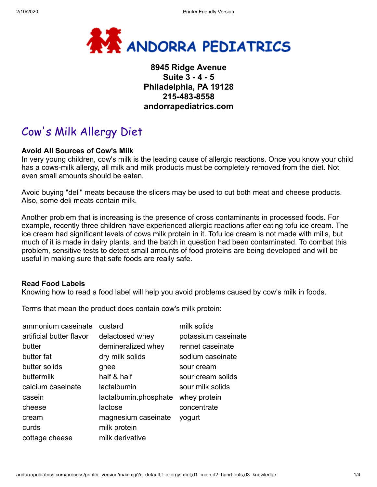

# **8945 Ridge Avenue Suite 3 - 4 - 5 Philadelphia, PA 19128 215-483-8558 andorrapediatrics.com**

# Cow's Milk Allergy Diet

#### **Avoid All Sources of Cow's Milk**

In very young children, cow's milk is the leading cause of allergic reactions. Once you know your child has a cows-milk allergy, all milk and milk products must be completely removed from the diet. Not even small amounts should be eaten.

Avoid buying "deli" meats because the slicers may be used to cut both meat and cheese products. Also, some deli meats contain milk.

Another problem that is increasing is the presence of cross contaminants in processed foods. For example, recently three children have experienced allergic reactions after eating tofu ice cream. The ice cream had significant levels of cows milk protein in it. Tofu ice cream is not made with mills, but much of it is made in dairy plants, and the batch in question had been contaminated. To combat this problem, sensitive tests to detect small amounts of food proteins are being developed and will be useful in making sure that safe foods are really safe.

#### **Read Food Labels**

Knowing how to read a food label will help you avoid problems caused by cow's milk in foods.

Terms that mean the product does contain cow's milk protein:

| ammonium caseinate       | custard               | milk solids         |
|--------------------------|-----------------------|---------------------|
| artificial butter flavor | delactosed whey       | potassium caseinate |
| butter                   | demineralized whey    | rennet caseinate    |
| butter fat               | dry milk solids       | sodium caseinate    |
| butter solids            | ghee                  | sour cream          |
| buttermilk               | half & half           | sour cream solids   |
| calcium caseinate        | lactalbumin           | sour milk solids    |
| casein                   | lactalbumin.phosphate | whey protein        |
| cheese                   | lactose               | concentrate         |
| cream                    | magnesium caseinate   | yogurt              |
| curds                    | milk protein          |                     |
| cottage cheese           | milk derivative       |                     |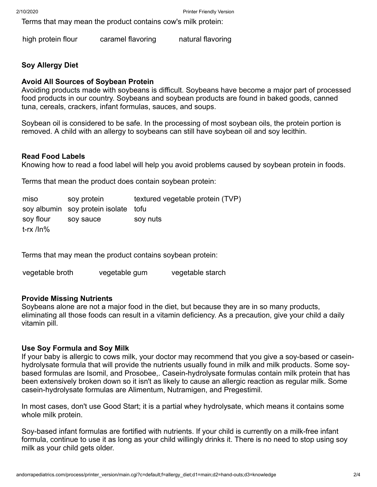Terms that may mean the product contains cow's milk protein:

high protein flour caramel flavoring natural flavoring

# **Soy Allergy Diet**

# **Avoid All Sources of Soybean Protein**

Avoiding products made with soybeans is difficult. Soybeans have become a major part of processed food products in our country. Soybeans and soybean products are found in baked goods, canned tuna, cereals, crackers, infant formulas, sauces, and soups.

Soybean oil is considered to be safe. In the processing of most soybean oils, the protein portion is removed. A child with an allergy to soybeans can still have soybean oil and soy lecithin.

# **Read Food Labels**

Knowing how to read a food label will help you avoid problems caused by soybean protein in foods.

Terms that mean the product does contain soybean protein:

| miso         | soy protein                          | textured vegetable protein (TVP) |
|--------------|--------------------------------------|----------------------------------|
|              | soy albumin soy protein isolate tofu |                                  |
| soy flour    | soy sauce                            | soy nuts                         |
| $t$ -rx /ln% |                                      |                                  |

Terms that may mean the product contains soybean protein:

vegetable broth vegetable gum vegetable starch

# **Provide Missing Nutrients**

Soybeans alone are not a major food in the diet, but because they are in so many products, eliminating all those foods can result in a vitamin deficiency. As a precaution, give your child a daily vitamin pill.

# **Use Soy Formula and Soy Milk**

If your baby is allergic to cows milk, your doctor may recommend that you give a soy-based or caseinhydrolysate formula that will provide the nutrients usually found in milk and milk products. Some soybased formulas are Isomil, and Prosobee,. Casein-hydrolysate formulas contain milk protein that has been extensively broken down so it isn't as likely to cause an allergic reaction as regular milk. Some casein-hydrolysate formulas are Alimentum, Nutramigen, and Pregestimil.

In most cases, don't use Good Start; it is a partial whey hydrolysate, which means it contains some whole milk protein.

Soy-based infant formulas are fortified with nutrients. If your child is currently on a milk-free infant formula, continue to use it as long as your child willingly drinks it. There is no need to stop using soy milk as your child gets older.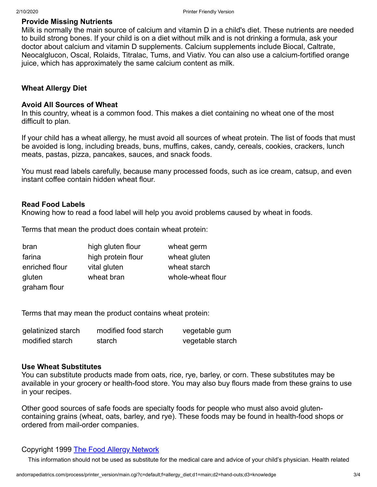#### **Provide Missing Nutrients**

Milk is normally the main source of calcium and vitamin D in a child's diet. These nutrients are needed to build strong bones. If your child is on a diet without milk and is not drinking a formula, ask your doctor about calcium and vitamin D supplements. Calcium supplements include Biocal, Caltrate, Neocalglucon, Oscal, Rolaids, Titralac, Tums, and Viativ. You can also use a calcium-fortified orange juice, which has approximately the same calcium content as milk.

#### **Wheat Allergy Diet**

#### **Avoid All Sources of Wheat**

In this country, wheat is a common food. This makes a diet containing no wheat one of the most difficult to plan.

If your child has a wheat allergy, he must avoid all sources of wheat protein. The list of foods that must be avoided is long, including breads, buns, muffins, cakes, candy, cereals, cookies, crackers, lunch meats, pastas, pizza, pancakes, sauces, and snack foods.

You must read labels carefully, because many processed foods, such as ice cream, catsup, and even instant coffee contain hidden wheat flour.

#### **Read Food Labels**

Knowing how to read a food label will help you avoid problems caused by wheat in foods.

Terms that mean the product does contain wheat protein:

| bran           | high gluten flour  | wheat germ        |
|----------------|--------------------|-------------------|
| farina         | high protein flour | wheat gluten      |
| enriched flour | vital gluten       | wheat starch      |
| gluten         | wheat bran         | whole-wheat flour |
| graham flour   |                    |                   |

Terms that may mean the product contains wheat protein:

| gelatinized starch | modified food starch | vegetable gum    |
|--------------------|----------------------|------------------|
| modified starch    | starch               | vegetable starch |

#### **Use Wheat Substitutes**

You can substitute products made from oats, rice, rye, barley, or corn. These substitutes may be available in your grocery or health-food store. You may also buy flours made from these grains to use in your recipes.

Other good sources of safe foods are specialty foods for people who must also avoid glutencontaining grains (wheat, oats, barley, and rye). These foods may be found in health-food shops or ordered from mail-order companies.

# Copyright 1999 [The Food Allergy Network](http://www.foodallergy.org/)

This information should not be used as substitute for the medical care and advice of your child's physician. Health related